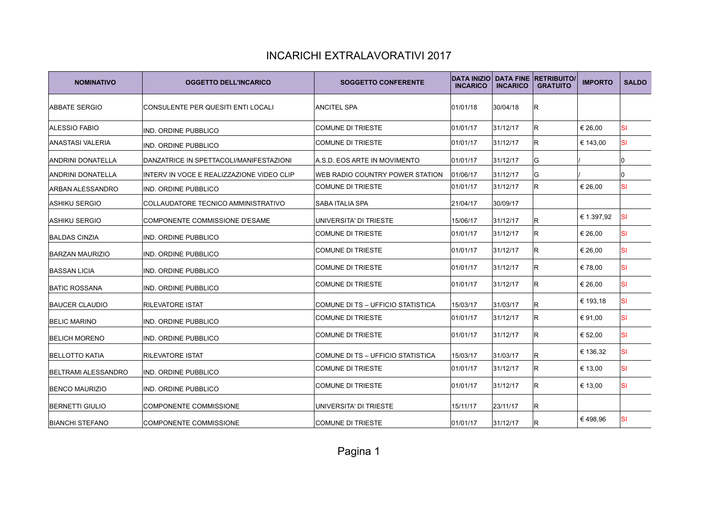| <b>NOMINATIVO</b>          | <b>OGGETTO DELL'INCARICO</b>              | <b>SOGGETTO CONFERENTE</b>        | <b>DATA INIZIO</b><br><b>INCARICO</b> | <b>INCARICO</b> | <b>DATA FINE RETRIBUITO/</b><br><b>GRATUITO</b> | <b>IMPORTO</b> | <b>SALDO</b> |
|----------------------------|-------------------------------------------|-----------------------------------|---------------------------------------|-----------------|-------------------------------------------------|----------------|--------------|
| <b>ABBATE SERGIO</b>       | CONSULENTE PER QUESITI ENTI LOCALI        | <b>ANCITEL SPA</b>                | 01/01/18                              | 30/04/18        | IR.                                             |                |              |
| ALESSIO FABIO              | IND. ORDINE PUBBLICO                      | <b>COMUNE DI TRIESTE</b>          | 01/01/17                              | 31/12/17        | lR.                                             | € 26,00        | <b>SI</b>    |
| ANASTASI VALERIA           | IND. ORDINE PUBBLICO                      | COMUNE DI TRIESTE                 | 01/01/17                              | 31/12/17        | lR.                                             | € 143,00       | <b>SI</b>    |
| <b>ANDRINI DONATELLA</b>   | DANZATRICE IN SPETTACOLI/MANIFESTAZIONI   | A.S.D. EOS ARTE IN MOVIMENTO      | 01/01/17                              | 31/12/17        | lG.                                             |                | 0            |
| <b>ANDRINI DONATELLA</b>   | INTERV IN VOCE E REALIZZAZIONE VIDEO CLIP | WEB RADIO COUNTRY POWER STATION   | 01/06/17                              | 31/12/17        | lG.                                             |                | l0           |
| <b>ARBAN ALESSANDRO</b>    | <b>IND. ORDINE PUBBLICO</b>               | <b>COMUNE DI TRIESTE</b>          | 01/01/17                              | 31/12/17        | R.                                              | € 26,00        | <b>SI</b>    |
| <b>ASHIKU SERGIO</b>       | COLLAUDATORE TECNICO AMMINISTRATIVO       | <b>SABA ITALIA SPA</b>            | 21/04/17                              | 30/09/17        |                                                 |                |              |
| <b>ASHIKU SERGIO</b>       | COMPONENTE COMMISSIONE D'ESAME            | UNIVERSITA' DI TRIESTE            | 15/06/17                              | 31/12/17        | R.                                              | € 1.397,92     | <b>SI</b>    |
| <b>BALDAS CINZIA</b>       | IND. ORDINE PUBBLICO                      | COMUNE DI TRIESTE                 | 01/01/17                              | 31/12/17        | IR.                                             | € 26,00        | <b>SI</b>    |
| <b>BARZAN MAURIZIO</b>     | IND. ORDINE PUBBLICO                      | <b>COMUNE DI TRIESTE</b>          | 01/01/17                              | 31/12/17        | IR.                                             | € 26.00        | <b>SI</b>    |
| <b>BASSAN LICIA</b>        | <b>IND. ORDINE PUBBLICO</b>               | COMUNE DI TRIESTE                 | 01/01/17                              | 31/12/17        | IR.                                             | €78,00         | <b>SI</b>    |
| <b>BATIC ROSSANA</b>       | <b>IND. ORDINE PUBBLICO</b>               | <b>COMUNE DI TRIESTE</b>          | 01/01/17                              | 31/12/17        | IR.                                             | € 26,00        | <b>SI</b>    |
| <b>BAUCER CLAUDIO</b>      | <b>RILEVATORE ISTAT</b>                   | COMUNE DI TS - UFFICIO STATISTICA | 15/03/17                              | 31/03/17        | IR.                                             | € 193,18       | <b>SI</b>    |
| <b>BELIC MARINO</b>        | IND. ORDINE PUBBLICO                      | <b>COMUNE DI TRIESTE</b>          | 01/01/17                              | 31/12/17        | IR.                                             | € 91,00        | <b>SI</b>    |
| <b>BELICH MORENO</b>       | <b>IND. ORDINE PUBBLICO</b>               | COMUNE DI TRIESTE                 | 01/01/17                              | 31/12/17        | IR.                                             | € 52,00        | <b>SI</b>    |
| <b>BELLOTTO KATIA</b>      | <b>RILEVATORE ISTAT</b>                   | COMUNE DI TS - UFFICIO STATISTICA | 15/03/17                              | 31/03/17        | IR.                                             | € 136,32       | <b>SI</b>    |
| <b>BELTRAMI ALESSANDRO</b> | IND. ORDINE PUBBLICO                      | COMUNE DI TRIESTE                 | 01/01/17                              | 31/12/17        | lR.                                             | € 13,00        | <b>SI</b>    |
| <b>BENCO MAURIZIO</b>      | IND. ORDINE PUBBLICO                      | <b>COMUNE DI TRIESTE</b>          | 01/01/17                              | 31/12/17        | IR.                                             | € 13,00        | <b>SI</b>    |
| <b>BERNETTI GIULIO</b>     | COMPONENTE COMMISSIONE                    | UNIVERSITA' DI TRIESTE            | 15/11/17                              | 23/11/17        | IR.                                             |                |              |
| <b>BIANCHI STEFANO</b>     | <b>COMPONENTE COMMISSIONE</b>             | <b>COMUNE DI TRIESTE</b>          | 01/01/17                              | 31/12/17        | IR.                                             | €498,96        | <b>SI</b>    |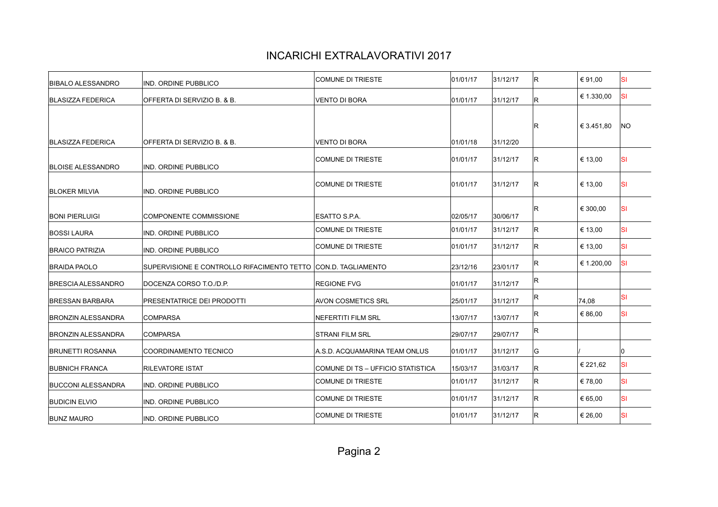| <b>BIBALO ALESSANDRO</b>  | IND. ORDINE PUBBLICO                                          | <b>COMUNE DI TRIESTE</b>          | 01/01/17 | 31/12/17 | lR. | € 91,00    | SI  |
|---------------------------|---------------------------------------------------------------|-----------------------------------|----------|----------|-----|------------|-----|
| <b>BLASIZZA FEDERICA</b>  | OFFERTA DI SERVIZIO B. & B.                                   | <b>VENTO DI BORA</b>              | 01/01/17 | 31/12/17 | R   | € 1.330,00 | SI  |
| <b>BLASIZZA FEDERICA</b>  | OFFERTA DI SERVIZIO B. & B.                                   | <b>VENTO DI BORA</b>              | 01/01/18 | 31/12/20 | R.  | € 3.451,80 | NO. |
| <b>BLOISE ALESSANDRO</b>  | IND. ORDINE PUBBLICO                                          | COMUNE DI TRIESTE                 | 01/01/17 | 31/12/17 | lR. | € 13,00    | SI  |
| <b>BLOKER MILVIA</b>      | IND. ORDINE PUBBLICO                                          | <b>COMUNE DI TRIESTE</b>          | 01/01/17 | 31/12/17 | lR. | € 13,00    | SI  |
| <b>BONI PIERLUIGI</b>     | COMPONENTE COMMISSIONE                                        | ESATTO S.P.A.                     | 02/05/17 | 30/06/17 | lR. | € 300,00   | SI  |
| <b>BOSSI LAURA</b>        | <b>IND. ORDINE PUBBLICO</b>                                   | <b>COMUNE DI TRIESTE</b>          | 01/01/17 | 31/12/17 | IR. | € 13,00    | SI  |
| <b>BRAICO PATRIZIA</b>    | <b>IND. ORDINE PUBBLICO</b>                                   | <b>COMUNE DI TRIESTE</b>          | 01/01/17 | 31/12/17 | IR. | € 13,00    | SI  |
| <b>BRAIDA PAOLO</b>       | SUPERVISIONE E CONTROLLO RIFACIMENTO TETTO CON.D. TAGLIAMENTO |                                   | 23/12/16 | 23/01/17 | R   | € 1.200,00 | SI  |
| <b>BRESCIA ALESSANDRO</b> | DOCENZA CORSO T.O./D.P.                                       | <b>REGIONE FVG</b>                | 01/01/17 | 31/12/17 | R   |            |     |
| <b>BRESSAN BARBARA</b>    | <b>PRESENTATRICE DEI PRODOTTI</b>                             | <b>AVON COSMETICS SRL</b>         | 25/01/17 | 31/12/17 | R.  | 74.08      | SI  |
| BRONZIN ALESSANDRA        | <b>COMPARSA</b>                                               | NEFERTITI FILM SRL                | 13/07/17 | 13/07/17 | R.  | € 86,00    | SI  |
| <b>BRONZIN ALESSANDRA</b> | <b>COMPARSA</b>                                               | <b>STRANI FILM SRL</b>            | 29/07/17 | 29/07/17 | R.  |            |     |
| <b>BRUNETTI ROSANNA</b>   | COORDINAMENTO TECNICO                                         | A.S.D. ACQUAMARINA TEAM ONLUS     | 01/01/17 | 31/12/17 | lG. |            |     |
| <b>BUBNICH FRANCA</b>     | <b>RILEVATORE ISTAT</b>                                       | COMUNE DI TS - UFFICIO STATISTICA | 15/03/17 | 31/03/17 | R   | € 221,62   | SI  |
| <b>BUCCONI ALESSANDRA</b> | IND. ORDINE PUBBLICO                                          | <b>COMUNE DI TRIESTE</b>          | 01/01/17 | 31/12/17 | lR. | € 78,00    | SI  |
| <b>BUDICIN ELVIO</b>      | IND. ORDINE PUBBLICO                                          | COMUNE DI TRIESTE                 | 01/01/17 | 31/12/17 | lR. | € 65,00    | SI  |
| <b>BUNZ MAURO</b>         | IND. ORDINE PUBBLICO                                          | COMUNE DI TRIESTE                 | 01/01/17 | 31/12/17 | R.  | € 26,00    | SI  |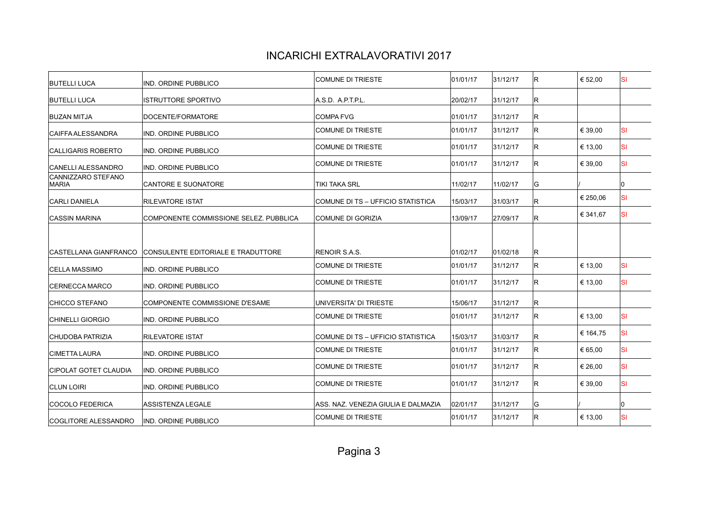| <b>BUTELLI LUCA</b>                | IND. ORDINE PUBBLICO                   | COMUNE DI TRIESTE                   | 01/01/17 | 31/12/17 | lR. | € 52,00  | ΙSΙ       |
|------------------------------------|----------------------------------------|-------------------------------------|----------|----------|-----|----------|-----------|
| <b>BUTELLI LUCA</b>                | <b>ISTRUTTORE SPORTIVO</b>             | A.S.D. A.P.T.P.L.                   | 20/02/17 | 31/12/17 | IR. |          |           |
| <b>BUZAN MITJA</b>                 | DOCENTE/FORMATORE                      | <b>COMPA FVG</b>                    | 01/01/17 | 31/12/17 | R   |          |           |
| <b>CAIFFA ALESSANDRA</b>           | IND. ORDINE PUBBLICO                   | <b>COMUNE DI TRIESTE</b>            | 01/01/17 | 31/12/17 | lR. | € 39,00  | <b>SI</b> |
| <b>CALLIGARIS ROBERTO</b>          | IND. ORDINE PUBBLICO                   | <b>COMUNE DI TRIESTE</b>            | 01/01/17 | 31/12/17 | IR. | € 13,00  | ΙSΙ       |
| CANELLI ALESSANDRO                 | IND. ORDINE PUBBLICO                   | <b>COMUNE DI TRIESTE</b>            | 01/01/17 | 31/12/17 | IR. | € 39,00  | <b>SI</b> |
| CANNIZZARO STEFANO<br><b>MARIA</b> | <b>CANTORE E SUONATORE</b>             | TIKI TAKA SRL                       | 11/02/17 | 11/02/17 | G   |          | ۱O        |
| <b>CARLI DANIELA</b>               | <b>RILEVATORE ISTAT</b>                | COMUNE DI TS - UFFICIO STATISTICA   | 15/03/17 | 31/03/17 | IR. | € 250,06 | <b>SI</b> |
| ICASSIN MARINA                     | COMPONENTE COMMISSIONE SELEZ. PUBBLICA | COMUNE DI GORIZIA                   | 13/09/17 | 27/09/17 | lR. | € 341,67 | <b>SI</b> |
|                                    |                                        |                                     |          |          |     |          |           |
| ICASTELLANA GIANFRANCO             | CONSULENTE EDITORIALE E TRADUTTORE     | <b>RENOIR S.A.S.</b>                | 01/02/17 | 01/02/18 | lR. |          |           |
| ICELLA MASSIMO                     | IND. ORDINE PUBBLICO                   | <b>COMUNE DI TRIESTE</b>            | 01/01/17 | 31/12/17 | lR. | € 13,00  | <b>SI</b> |
| <b>CERNECCA MARCO</b>              | IND. ORDINE PUBBLICO                   | <b>COMUNE DI TRIESTE</b>            | 01/01/17 | 31/12/17 | R.  | € 13,00  | <b>SI</b> |
| <b>CHICCO STEFANO</b>              | COMPONENTE COMMISSIONE D'ESAME         | UNIVERSITA' DI TRIESTE              | 15/06/17 | 31/12/17 | R   |          |           |
| <b>CHINELLI GIORGIO</b>            | IND. ORDINE PUBBLICO                   | <b>COMUNE DI TRIESTE</b>            | 01/01/17 | 31/12/17 | R.  | € 13,00  | <b>SI</b> |
| <b>CHUDOBA PATRIZIA</b>            | <b>RILEVATORE ISTAT</b>                | COMUNE DI TS - UFFICIO STATISTICA   | 15/03/17 | 31/03/17 | IR. | € 164,75 | <b>SI</b> |
| <b>CIMETTA LAURA</b>               | IND. ORDINE PUBBLICO                   | <b>COMUNE DI TRIESTE</b>            | 01/01/17 | 31/12/17 | R   | € 65,00  | <b>SI</b> |
| <b>CIPOLAT GOTET CLAUDIA</b>       | IND. ORDINE PUBBLICO                   | <b>COMUNE DI TRIESTE</b>            | 01/01/17 | 31/12/17 | R.  | € 26,00  | <b>SI</b> |
| <b>CLUN LOIRI</b>                  | IND. ORDINE PUBBLICO                   | <b>COMUNE DI TRIESTE</b>            | 01/01/17 | 31/12/17 | IR. | € 39.00  | <b>SI</b> |
| COCOLO FEDERICA                    | <b>ASSISTENZA LEGALE</b>               | ASS. NAZ. VENEZIA GIULIA E DALMAZIA | 02/01/17 | 31/12/17 | G   |          | In        |
| COGLITORE ALESSANDRO               | IND. ORDINE PUBBLICO                   | <b>COMUNE DI TRIESTE</b>            | 01/01/17 | 31/12/17 | R.  | € 13,00  | <b>SI</b> |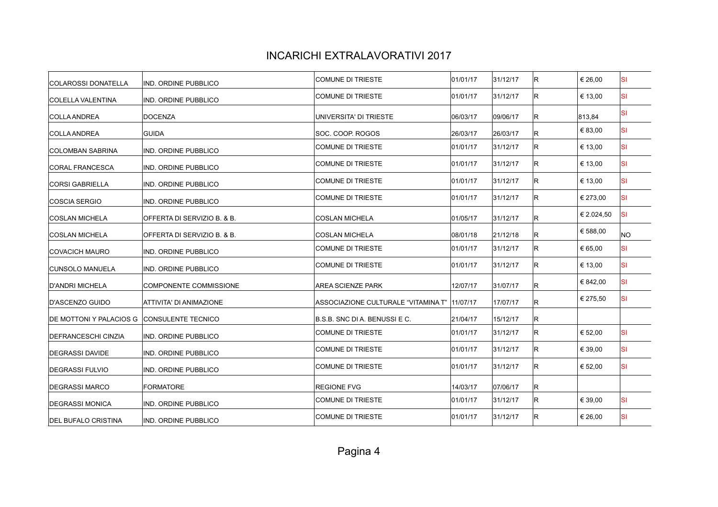| IND. ORDINE PUBBLICO           | COMUNE DI TRIESTE            | 01/01/17 | 31/12/17                                      | IR. | € 26,00    | <b>SI</b> |
|--------------------------------|------------------------------|----------|-----------------------------------------------|-----|------------|-----------|
| IND. ORDINE PUBBLICO           | <b>COMUNE DI TRIESTE</b>     | 01/01/17 | 31/12/17                                      | IR. | € 13,00    | <b>SI</b> |
| DOCENZA                        | UNIVERSITA' DI TRIESTE       | 06/03/17 | 09/06/17                                      | R.  | 813,84     | SI        |
| <b>GUIDA</b>                   | SOC. COOP. ROGOS             | 26/03/17 | 26/03/17                                      | R.  | € 83,00    | lsı       |
| IND. ORDINE PUBBLICO           | COMUNE DI TRIESTE            | 01/01/17 | 31/12/17                                      | IR. | € 13,00    | lsı       |
| IND. ORDINE PUBBLICO           | COMUNE DI TRIESTE            | 01/01/17 | 31/12/17                                      | R.  | € 13,00    | lsı       |
| IND. ORDINE PUBBLICO           | COMUNE DI TRIESTE            | 01/01/17 | 31/12/17                                      | IR. | € 13,00    | lsı       |
| IND. ORDINE PUBBLICO           | COMUNE DI TRIESTE            | 01/01/17 | 31/12/17                                      | IR. | € 273,00   | lsı       |
| OFFERTA DI SERVIZIO B. & B.    | <b>COSLAN MICHELA</b>        | 01/05/17 | 31/12/17                                      | R.  | € 2.024,50 | lsı       |
| OFFERTA DI SERVIZIO B. & B.    | <b>COSLAN MICHELA</b>        | 08/01/18 | 21/12/18                                      | R.  | € 588,00   | NO.       |
| IND. ORDINE PUBBLICO           | COMUNE DI TRIESTE            | 01/01/17 | 31/12/17                                      | IR. | € 65,00    | <b>SI</b> |
| IND. ORDINE PUBBLICO           | COMUNE DI TRIESTE            | 01/01/17 | 31/12/17                                      | lR. | € 13,00    | lsı       |
| COMPONENTE COMMISSIONE         | <b>AREA SCIENZE PARK</b>     | 12/07/17 | 31/07/17                                      | IR. | € 842,00   | lsı       |
| <b>ATTIVITA' DI ANIMAZIONE</b> |                              |          | 17/07/17                                      | R.  | € 275,50   | lsı       |
| <b>CONSULENTE TECNICO</b>      | B.S.B. SNC DIA. BENUSSI E C. | 21/04/17 | 15/12/17                                      | R.  |            |           |
| IND. ORDINE PUBBLICO           | COMUNE DI TRIESTE            | 01/01/17 | 31/12/17                                      | R.  | € 52,00    | lsı       |
| IND. ORDINE PUBBLICO           | COMUNE DI TRIESTE            | 01/01/17 | 31/12/17                                      | R.  | € 39,00    | <b>SI</b> |
| IND. ORDINE PUBBLICO           | COMUNE DI TRIESTE            | 01/01/17 | 31/12/17                                      | R.  | € 52,00    | lsı       |
| <b>FORMATORE</b>               | <b>REGIONE FVG</b>           | 14/03/17 | 07/06/17                                      | R.  |            |           |
| IND. ORDINE PUBBLICO           | COMUNE DI TRIESTE            | 01/01/17 | 31/12/17                                      | R.  | € 39,00    | <b>SI</b> |
| IND. ORDINE PUBBLICO           | <b>COMUNE DI TRIESTE</b>     | 01/01/17 | 31/12/17                                      | IR. | € 26,00    | <b>SI</b> |
|                                |                              |          | ASSOCIAZIONE CULTURALE "VITAMINA T"  11/07/17 |     |            |           |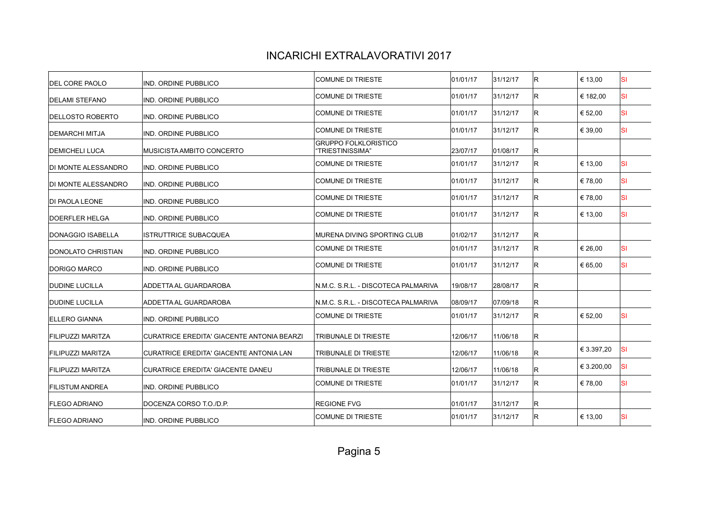| IND. ORDINE PUBBLICO                       | COMUNE DI TRIESTE                               | 01/01/17 | 31/12/17 | lR. | € 13,00    | ΙSΙ       |
|--------------------------------------------|-------------------------------------------------|----------|----------|-----|------------|-----------|
| <b>IND. ORDINE PUBBLICO</b>                | COMUNE DI TRIESTE                               | 01/01/17 | 31/12/17 | lR. | € 182,00   | <b>SI</b> |
| IND. ORDINE PUBBLICO                       | <b>COMUNE DI TRIESTE</b>                        | 01/01/17 | 31/12/17 | lR. | € 52,00    | ΙSΙ       |
| <b>IND. ORDINE PUBBLICO</b>                | COMUNE DI TRIESTE                               | 01/01/17 | 31/12/17 | lR. | € 39,00    | <b>SI</b> |
| MUSICISTA AMBITO CONCERTO                  | <b>GRUPPO FOLKLORISTICO</b><br>'TRIESTINISSIMA" | 23/07/17 | 01/08/17 | R   |            |           |
| <b>IND. ORDINE PUBBLICO</b>                | COMUNE DI TRIESTE                               | 01/01/17 | 31/12/17 | IR. | € 13,00    | <b>SI</b> |
| <b>IND. ORDINE PUBBLICO</b>                | COMUNE DI TRIESTE                               | 01/01/17 | 31/12/17 | lR. | €78,00     | <b>SI</b> |
| IND. ORDINE PUBBLICO                       | COMUNE DI TRIESTE                               | 01/01/17 | 31/12/17 | lR. | €78,00     | <b>SI</b> |
| IND. ORDINE PUBBLICO                       | COMUNE DI TRIESTE                               | 01/01/17 | 31/12/17 | lR. | € 13,00    | <b>SI</b> |
| ISTRUTTRICE SUBACQUEA                      | MURENA DIVING SPORTING CLUB                     | 01/02/17 | 31/12/17 | R   |            |           |
| IND. ORDINE PUBBLICO                       | COMUNE DI TRIESTE                               | 01/01/17 | 31/12/17 | lR. | € 26,00    | <b>SI</b> |
| <b>IND. ORDINE PUBBLICO</b>                | COMUNE DI TRIESTE                               | 01/01/17 | 31/12/17 | lR. | € 65,00    | <b>SI</b> |
| ADDETTA AL GUARDAROBA                      | N.M.C. S.R.L. - DISCOTECA PALMARIVA             | 19/08/17 | 28/08/17 | lR. |            |           |
| <b>ADDETTA AL GUARDAROBA</b>               | N.M.C. S.R.L. - DISCOTECA PALMARIVA             | 08/09/17 | 07/09/18 | R   |            |           |
| IND. ORDINE PUBBLICO                       | COMUNE DI TRIESTE                               | 01/01/17 | 31/12/17 | lR. | € 52,00    | <b>SI</b> |
| CURATRICE EREDITA' GIACENTE ANTONIA BEARZI | <b>TRIBUNALE DI TRIESTE</b>                     | 12/06/17 | 11/06/18 | lR. |            |           |
| CURATRICE EREDITA' GIACENTE ANTONIA LAN    | TRIBUNALE DI TRIESTE                            | 12/06/17 | 11/06/18 | lR. | € 3.397,20 | <b>SI</b> |
| <b>CURATRICE EREDITA' GIACENTE DANEU</b>   | TRIBUNALE DI TRIESTE                            | 12/06/17 | 11/06/18 | lR. | € 3.200,00 | <b>SI</b> |
| IND. ORDINE PUBBLICO                       | <b>COMUNE DI TRIESTE</b>                        | 01/01/17 | 31/12/17 | lR. | € 78.00    | <b>SI</b> |
| DOCENZA CORSO T.O./D.P.                    | <b>REGIONE FVG</b>                              | 01/01/17 | 31/12/17 | R   |            |           |
| IND. ORDINE PUBBLICO                       | COMUNE DI TRIESTE                               | 01/01/17 | 31/12/17 | lR. | € 13,00    | <b>SI</b> |
|                                            |                                                 |          |          |     |            |           |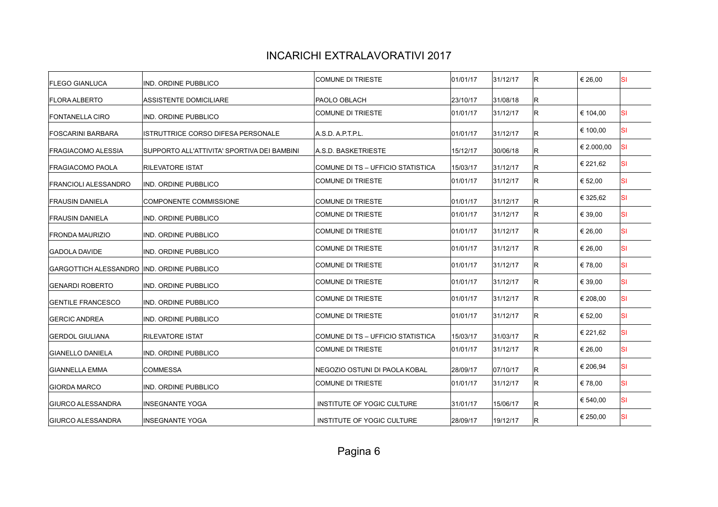| IND. ORDINE PUBBLICO                        | <b>COMUNE DI TRIESTE</b>                                                                                                                                                                                                                                           | 01/01/17                                                                                         | 31/12/17                         | lR.                              | € 26,00        | <b>SI</b> |
|---------------------------------------------|--------------------------------------------------------------------------------------------------------------------------------------------------------------------------------------------------------------------------------------------------------------------|--------------------------------------------------------------------------------------------------|----------------------------------|----------------------------------|----------------|-----------|
| <b>ASSISTENTE DOMICILIARE</b>               | PAOLO OBLACH                                                                                                                                                                                                                                                       | 23/10/17                                                                                         | 31/08/18                         | R.                               |                |           |
| IND. ORDINE PUBBLICO                        | <b>COMUNE DI TRIESTE</b>                                                                                                                                                                                                                                           | 01/01/17                                                                                         | 31/12/17                         | IR.                              | € 104,00       | lsı       |
| ISTRUTTRICE CORSO DIFESA PERSONALE          | A.S.D. A.P.T.P.L.                                                                                                                                                                                                                                                  | 01/01/17                                                                                         | 31/12/17                         | R.                               | € 100,00       | lsı       |
| SUPPORTO ALL'ATTIVITA' SPORTIVA DEI BAMBINI | A.S.D. BASKETRIESTE                                                                                                                                                                                                                                                | 15/12/17                                                                                         | 30/06/18                         | lR.                              | € 2.000,00     | lsı       |
| <b>RILEVATORE ISTAT</b>                     | COMUNE DI TS - UFFICIO STATISTICA                                                                                                                                                                                                                                  | 15/03/17                                                                                         | 31/12/17                         | R.                               | € 221,62       | lsı       |
| <b>IND. ORDINE PUBBLICO</b>                 | <b>COMUNE DI TRIESTE</b>                                                                                                                                                                                                                                           | 01/01/17                                                                                         | 31/12/17                         | R.                               | € 52,00        | <b>SI</b> |
| <b>COMPONENTE COMMISSIONE</b>               | COMUNE DI TRIESTE                                                                                                                                                                                                                                                  | 01/01/17                                                                                         | 31/12/17                         | R.                               | € 325,62       | lsı       |
| IND. ORDINE PUBBLICO                        | COMUNE DI TRIESTE                                                                                                                                                                                                                                                  | 01/01/17                                                                                         | 31/12/17                         | R.                               | € 39,00        | <b>SI</b> |
| IND. ORDINE PUBBLICO                        | COMUNE DI TRIESTE                                                                                                                                                                                                                                                  | 01/01/17                                                                                         | 31/12/17                         | IR.                              | € 26,00        | <b>SI</b> |
|                                             | <b>COMUNE DI TRIESTE</b>                                                                                                                                                                                                                                           | 01/01/17                                                                                         | 31/12/17                         | IR.                              | € 26,00        | <b>SI</b> |
|                                             | COMUNE DI TRIESTE                                                                                                                                                                                                                                                  | 01/01/17                                                                                         | 31/12/17                         | lR.                              | € 78,00        | lsı       |
|                                             | <b>COMUNE DI TRIESTE</b>                                                                                                                                                                                                                                           | 01/01/17                                                                                         | 31/12/17                         | R.                               | € 39,00        | <b>SI</b> |
|                                             | COMUNE DI TRIESTE                                                                                                                                                                                                                                                  | 01/01/17                                                                                         | 31/12/17                         | R.                               | € 208,00       | lsı       |
|                                             | <b>COMUNE DI TRIESTE</b>                                                                                                                                                                                                                                           | 01/01/17                                                                                         | 31/12/17                         | R.                               | € 52,00        | <b>SI</b> |
|                                             |                                                                                                                                                                                                                                                                    |                                                                                                  |                                  |                                  | € 221,62       | lsı       |
|                                             | <b>COMUNE DI TRIESTE</b>                                                                                                                                                                                                                                           | 01/01/17                                                                                         | 31/12/17                         | R.                               | € 26,00        | <b>SI</b> |
|                                             |                                                                                                                                                                                                                                                                    |                                                                                                  |                                  |                                  | € 206,94       | lsı       |
|                                             | COMUNE DI TRIESTE                                                                                                                                                                                                                                                  | 01/01/17                                                                                         | 31/12/17                         | R.                               | € 78,00        | <b>SI</b> |
|                                             |                                                                                                                                                                                                                                                                    |                                                                                                  |                                  |                                  | € 540,00       | <b>SI</b> |
| <b>INSEGNANTE YOGA</b>                      | INSTITUTE OF YOGIC CULTURE                                                                                                                                                                                                                                         | 28/09/17                                                                                         | 19/12/17                         | IR.                              | € 250,00       | <b>SI</b> |
|                                             | IND. ORDINE PUBBLICO<br>GARGOTTICH ALESSANDRO IND. ORDINE PUBBLICO<br>IND. ORDINE PUBBLICO<br>IND. ORDINE PUBBLICO<br>IND. ORDINE PUBBLICO<br><b>RILEVATORE ISTAT</b><br>IND. ORDINE PUBBLICO<br><b>COMMESSA</b><br>IND. ORDINE PUBBLICO<br><b>INSEGNANTE YOGA</b> | COMUNE DI TS - UFFICIO STATISTICA<br>NEGOZIO OSTUNI DI PAOLA KOBAL<br>INSTITUTE OF YOGIC CULTURE | 15/03/17<br>28/09/17<br>31/01/17 | 31/03/17<br>07/10/17<br>15/06/17 | R.<br>R.<br>R. |           |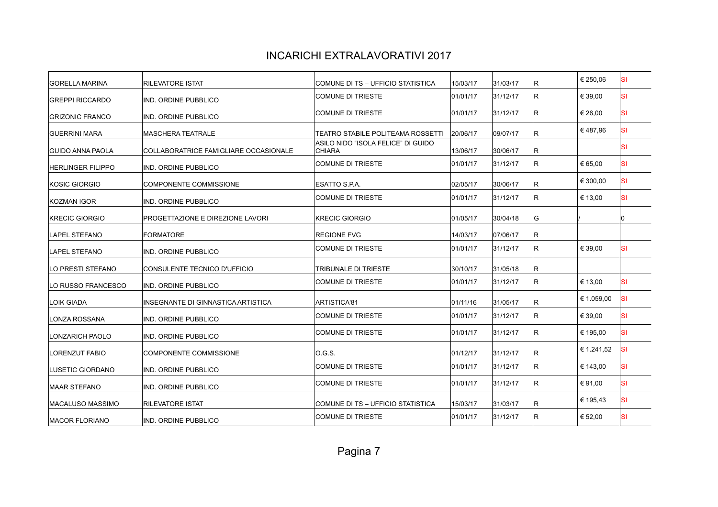| <b>RILEVATORE ISTAT</b>                 | COMUNE DI TS - UFFICIO STATISTICA                   | 15/03/17 | 31/03/17 | IR. | € 250,06   | <b>SI</b> |
|-----------------------------------------|-----------------------------------------------------|----------|----------|-----|------------|-----------|
| IND. ORDINE PUBBLICO                    | <b>COMUNE DI TRIESTE</b>                            | 01/01/17 | 31/12/17 | IR. | € 39,00    | <b>SI</b> |
| IND. ORDINE PUBBLICO                    | COMUNE DI TRIESTE                                   | 01/01/17 | 31/12/17 | IR. | € 26,00    | <b>SI</b> |
| <b>MASCHERA TEATRALE</b>                | <b>TEATRO STABILE POLITEAMA ROSSETTI</b>            | 20/06/17 | 09/07/17 | IR. | €487,96    | lsı       |
| COLLABORATRICE FAMIGLIARE OCCASIONALE   | ASILO NIDO "ISOLA FELICE" DI GUIDO<br><b>CHIARA</b> | 13/06/17 | 30/06/17 | R.  |            | <b>SI</b> |
| IND. ORDINE PUBBLICO                    | <b>COMUNE DI TRIESTE</b>                            | 01/01/17 | 31/12/17 | IR. | € 65,00    | lsı       |
| <b>COMPONENTE COMMISSIONE</b>           | ESATTO S.P.A.                                       | 02/05/17 | 30/06/17 | IR. | € 300,00   | <b>SI</b> |
| IND. ORDINE PUBBLICO                    | COMUNE DI TRIESTE                                   | 01/01/17 | 31/12/17 | IR. | € 13,00    | lsı       |
| <b>PROGETTAZIONE E DIREZIONE LAVORI</b> | <b>KRECIC GIORGIO</b>                               | 01/05/17 | 30/04/18 | lG. |            | l0        |
| <b>FORMATORE</b>                        | <b>REGIONE FVG</b>                                  | 14/03/17 | 07/06/17 | R.  |            |           |
| IND. ORDINE PUBBLICO                    | <b>COMUNE DI TRIESTE</b>                            | 01/01/17 | 31/12/17 | IR. | € 39,00    | <b>SI</b> |
| CONSULENTE TECNICO D'UFFICIO            | <b>TRIBUNALE DI TRIESTE</b>                         | 30/10/17 | 31/05/18 | R.  |            |           |
| IND. ORDINE PUBBLICO                    | <b>COMUNE DI TRIESTE</b>                            | 01/01/17 | 31/12/17 | IR. | € 13,00    | <b>SI</b> |
| INSEGNANTE DI GINNASTICA ARTISTICA      | ARTISTICA'81                                        | 01/11/16 | 31/05/17 | IR. | € 1.059.00 | lsı       |
| IND. ORDINE PUBBLICO                    | COMUNE DI TRIESTE                                   | 01/01/17 | 31/12/17 | IR. | € 39,00    | <b>SI</b> |
| IND. ORDINE PUBBLICO                    | <b>COMUNE DI TRIESTE</b>                            | 01/01/17 | 31/12/17 | R.  | € 195,00   | <b>SI</b> |
| <b>COMPONENTE COMMISSIONE</b>           | O.G.S.                                              | 01/12/17 | 31/12/17 | R   | € 1.241,52 | <b>SI</b> |
| IND. ORDINE PUBBLICO                    | <b>COMUNE DI TRIESTE</b>                            | 01/01/17 | 31/12/17 | R.  | € 143,00   | <b>SI</b> |
| IND. ORDINE PUBBLICO                    | <b>COMUNE DI TRIESTE</b>                            | 01/01/17 | 31/12/17 | R.  | € 91.00    | <b>SI</b> |
| <b>RILEVATORE ISTAT</b>                 | COMUNE DI TS - UFFICIO STATISTICA                   | 15/03/17 | 31/03/17 | R.  | € 195,43   | <b>SI</b> |
| IND. ORDINE PUBBLICO                    | COMUNE DI TRIESTE                                   | 01/01/17 | 31/12/17 | R.  | € 52,00    | <b>SI</b> |
|                                         |                                                     |          |          |     |            |           |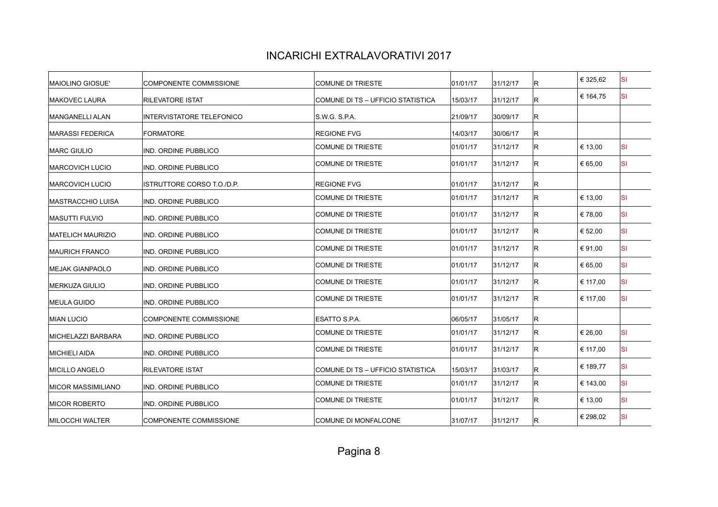| MAIOLINO GIOSUE'           | <b>COMPONENTE COMMISSIONE</b> | <b>COMUNE DI TRIESTE</b>          | 01/01/17 | 31/12/17 | R.  | € 325,62 | SI        |
|----------------------------|-------------------------------|-----------------------------------|----------|----------|-----|----------|-----------|
| <b>MAKOVEC LAURA</b>       | <b>RILEVATORE ISTAT</b>       | COMUNE DI TS – UFFICIO STATISTICA | 15/03/17 | 31/12/17 | IR. | € 164,75 | <b>SI</b> |
| MANGANELLI ALAN            | INTERVISTATORE TELEFONICO     | S.W.G. S.P.A.                     | 21/09/17 | 30/09/17 | R.  |          |           |
| <b>IMARASSI FEDERICA</b>   | <b>FORMATORE</b>              | <b>REGIONE FVG</b>                | 14/03/17 | 30/06/17 | R.  |          |           |
| <b>MARC GIULIO</b>         | IND. ORDINE PUBBLICO          | <b>COMUNE DI TRIESTE</b>          | 01/01/17 | 31/12/17 | R.  | € 13,00  | lsı       |
| <b>MARCOVICH LUCIO</b>     | IND. ORDINE PUBBLICO          | COMUNE DI TRIESTE                 | 01/01/17 | 31/12/17 | IR. | € 65,00  | <b>SI</b> |
| <b>MARCOVICH LUCIO</b>     | ISTRUTTORE CORSO T.O./D.P.    | <b>REGIONE FVG</b>                | 01/01/17 | 31/12/17 | R.  |          |           |
| IMASTRACCHIO LUISA         | IND. ORDINE PUBBLICO          | COMUNE DI TRIESTE                 | 01/01/17 | 31/12/17 | IR. | € 13,00  | lsı       |
| <b>MASUTTI FULVIO</b>      | IND. ORDINE PUBBLICO          | <b>COMUNE DI TRIESTE</b>          | 01/01/17 | 31/12/17 | R.  | €78,00   | lsı       |
| <b>MATELICH MAURIZIO</b>   | IND. ORDINE PUBBLICO          | COMUNE DI TRIESTE                 | 01/01/17 | 31/12/17 | R.  | € 52,00  | <b>SI</b> |
| <b>MAURICH FRANCO</b>      | IND. ORDINE PUBBLICO          | <b>COMUNE DI TRIESTE</b>          | 01/01/17 | 31/12/17 | IR. | € 91.00  | <b>SI</b> |
| <b>MEJAK GIANPAOLO</b>     | IND. ORDINE PUBBLICO          | <b>COMUNE DI TRIESTE</b>          | 01/01/17 | 31/12/17 | R.  | € 65,00  | lsı       |
| IMERKUZA GIULIO            | IND. ORDINE PUBBLICO          | <b>COMUNE DI TRIESTE</b>          | 01/01/17 | 31/12/17 | R.  | € 117,00 | <b>SI</b> |
| <b>MEULA GUIDO</b>         | IND. ORDINE PUBBLICO          | <b>COMUNE DI TRIESTE</b>          | 01/01/17 | 31/12/17 | IR. | € 117,00 | lsı       |
| <b>MIAN LUCIO</b>          | <b>COMPONENTE COMMISSIONE</b> | ESATTO S.P.A.                     | 06/05/17 | 31/05/17 | R.  |          |           |
| MICHELAZZI BARBARA         | IND. ORDINE PUBBLICO          | <b>COMUNE DI TRIESTE</b>          | 01/01/17 | 31/12/17 | R.  | € 26,00  | lsı       |
| <b>MICHIELI AIDA</b>       | IND. ORDINE PUBBLICO          | <b>COMUNE DI TRIESTE</b>          | 01/01/17 | 31/12/17 | R.  | € 117,00 | <b>SI</b> |
| <b>MICILLO ANGELO</b>      | <b>RILEVATORE ISTAT</b>       | COMUNE DI TS – UFFICIO STATISTICA | 15/03/17 | 31/03/17 | IR. | € 189,77 | lsı       |
| <b>IMICOR MASSIMILIANO</b> | IND. ORDINE PUBBLICO          | COMUNE DI TRIESTE                 | 01/01/17 | 31/12/17 | IR. | € 143,00 | <b>SI</b> |
| <b>MICOR ROBERTO</b>       | IND. ORDINE PUBBLICO          | COMUNE DI TRIESTE                 | 01/01/17 | 31/12/17 | R.  | € 13,00  | <b>SI</b> |
| MILOCCHI WALTER            | <b>COMPONENTE COMMISSIONE</b> | <b>COMUNE DI MONFALCONE</b>       | 31/07/17 | 31/12/17 | R.  | € 298,02 | <b>SI</b> |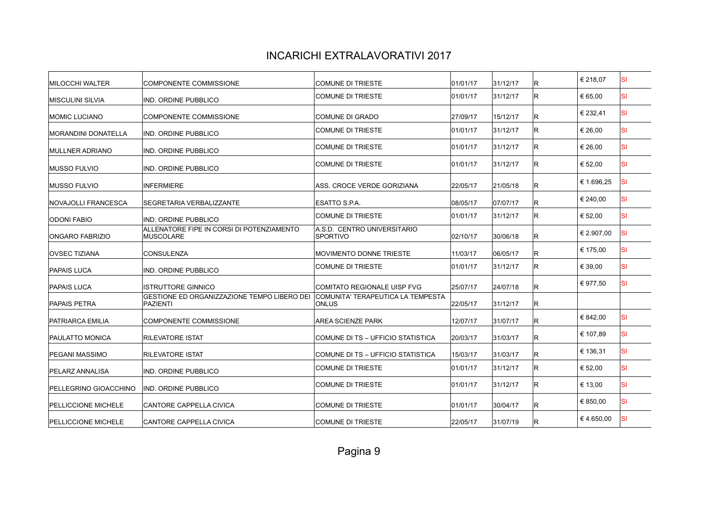| <b>MILOCCHI WALTER</b>     | COMPONENTE COMMISSIONE                                         | <b>COMUNE DI TRIESTE</b>                          | 01/01/17 | 31/12/17 | R.  | € 218,07   | ΙSΙ       |
|----------------------------|----------------------------------------------------------------|---------------------------------------------------|----------|----------|-----|------------|-----------|
| <b>MISCULINI SILVIA</b>    | IND. ORDINE PUBBLICO                                           | <b>COMUNE DI TRIESTE</b>                          | 01/01/17 | 31/12/17 | R   | € 65.00    | ΙSΙ       |
| <b>MOMIC LUCIANO</b>       | <b>COMPONENTE COMMISSIONE</b>                                  | COMUNE DI GRADO                                   | 27/09/17 | 15/12/17 | lR. | € 232,41   | <b>SI</b> |
| MORANDINI DONATELLA        | IND. ORDINE PUBBLICO                                           | <b>COMUNE DI TRIESTE</b>                          | 01/01/17 | 31/12/17 | R.  | € 26,00    | ΙSΙ       |
| <b>MULLNER ADRIANO</b>     | IND. ORDINE PUBBLICO                                           | <b>COMUNE DI TRIESTE</b>                          | 01/01/17 | 31/12/17 | R   | € 26,00    | <b>SI</b> |
| <b>MUSSO FULVIO</b>        | IND. ORDINE PUBBLICO                                           | <b>COMUNE DI TRIESTE</b>                          | 01/01/17 | 31/12/17 | R   | € 52,00    | <b>SI</b> |
| <b>MUSSO FULVIO</b>        | <b>INFERMIERE</b>                                              | ASS. CROCE VERDE GORIZIANA                        | 22/05/17 | 21/05/18 | lR. | € 1.696,25 | <b>SI</b> |
| <b>NOVAJOLLI FRANCESCA</b> | SEGRETARIA VERBALIZZANTE                                       | ESATTO S.P.A.                                     | 08/05/17 | 07/07/17 | R   | € 240,00   | <b>SI</b> |
| <b>ODONI FABIO</b>         | IND. ORDINE PUBBLICO                                           | <b>COMUNE DI TRIESTE</b>                          | 01/01/17 | 31/12/17 | R.  | € 52,00    | <b>SI</b> |
| <b>ONGARO FABRIZIO</b>     | ALLENATORE FIPE IN CORSI DI POTENZIAMENTO<br><b>MUSCOLARE</b>  | A.S.D. CENTRO UNIVERSITARIO<br><b>SPORTIVO</b>    | 02/10/17 | 30/06/18 | R   | € 2.907.00 | ΙSΙ       |
| <b>OVSEC TIZIANA</b>       | <b>CONSULENZA</b>                                              | <b>MOVIMENTO DONNE TRIESTE</b>                    | 11/03/17 | 06/05/17 | R   | € 175,00   | ΙSΙ       |
| <b>PAPAIS LUCA</b>         | IND. ORDINE PUBBLICO                                           | <b>COMUNE DI TRIESTE</b>                          | 01/01/17 | 31/12/17 | lR. | € 39,00    | <b>SI</b> |
| <b>PAPAIS LUCA</b>         | ISTRUTTORE GINNICO                                             | <b>COMITATO REGIONALE UISP FVG</b>                | 25/07/17 | 24/07/18 | R   | € 977,50   | <b>SI</b> |
| <b>PAPAIS PETRA</b>        | GESTIONE ED ORGANIZZAZIONE TEMPO LIBERO DEI<br><b>PAZIENTI</b> | COMUNITA' TERAPEUTICA LA TEMPESTA<br><b>ONLUS</b> | 22/05/17 | 31/12/17 | R   |            |           |
| PATRIARCA EMILIA           | COMPONENTE COMMISSIONE                                         | <b>AREA SCIENZE PARK</b>                          | 12/07/17 | 31/07/17 | R   | € 842.00   | <b>SI</b> |
| <b>PAULATTO MONICA</b>     | <b>RILEVATORE ISTAT</b>                                        | COMUNE DI TS - UFFICIO STATISTICA                 | 20/03/17 | 31/03/17 | R   | € 107,89   | <b>SI</b> |
| PEGANI MASSIMO             | <b>RILEVATORE ISTAT</b>                                        | COMUNE DI TS - UFFICIO STATISTICA                 | 15/03/17 | 31/03/17 | R   | € 136,31   | <b>SI</b> |
| PELARZ ANNALISA            | IND. ORDINE PUBBLICO                                           | <b>COMUNE DI TRIESTE</b>                          | 01/01/17 | 31/12/17 | R.  | € 52,00    | <b>SI</b> |
| PELLEGRINO GIOACCHINO      | IND. ORDINE PUBBLICO                                           | <b>COMUNE DI TRIESTE</b>                          | 01/01/17 | 31/12/17 | R   | € 13.00    | <b>SI</b> |
| <b>PELLICCIONE MICHELE</b> | <b>CANTORE CAPPELLA CIVICA</b>                                 | <b>COMUNE DI TRIESTE</b>                          | 01/01/17 | 30/04/17 | lR. | € 850,00   | <b>SI</b> |
| <b>PELLICCIONE MICHELE</b> | <b>CANTORE CAPPELLA CIVICA</b>                                 | <b>COMUNE DI TRIESTE</b>                          | 22/05/17 | 31/07/19 | R   | €4.650.00  | <b>SI</b> |
|                            |                                                                |                                                   |          |          |     |            |           |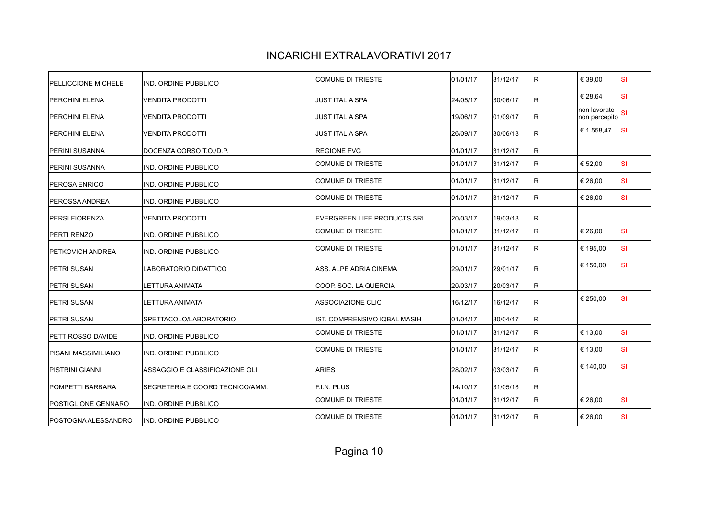| IND. ORDINE PUBBLICO            | <b>COMUNE DI TRIESTE</b>           | 01/01/17 | 31/12/17 | IR. | € 39,00                       | <b>SI</b> |
|---------------------------------|------------------------------------|----------|----------|-----|-------------------------------|-----------|
| <b>VENDITA PRODOTTI</b>         | JUST ITALIA SPA                    | 24/05/17 | 30/06/17 | IR. | € 28,64                       | <b>SI</b> |
| <b>VENDITA PRODOTTI</b>         | <b>JUST ITALIA SPA</b>             | 19/06/17 | 01/09/17 | R.  | non lavorato<br>non percepito | SI        |
| <b>VENDITA PRODOTTI</b>         | JUST ITALIA SPA                    | 26/09/17 | 30/06/18 | IR. | € 1.558,47                    | <b>SI</b> |
| DOCENZA CORSO T.O./D.P.         | <b>REGIONE FVG</b>                 | 01/01/17 | 31/12/17 | IR. |                               |           |
| IND. ORDINE PUBBLICO            | COMUNE DI TRIESTE                  | 01/01/17 | 31/12/17 | IR. | € 52,00                       | <b>SI</b> |
| IND. ORDINE PUBBLICO            | COMUNE DI TRIESTE                  | 01/01/17 | 31/12/17 | IR. | € 26,00                       | <b>SI</b> |
| IND. ORDINE PUBBLICO            | <b>COMUNE DI TRIESTE</b>           | 01/01/17 | 31/12/17 | IR. | € 26,00                       | lsı       |
| <b>VENDITA PRODOTTI</b>         | <b>EVERGREEN LIFE PRODUCTS SRL</b> | 20/03/17 | 19/03/18 | R.  |                               |           |
| IND. ORDINE PUBBLICO            | COMUNE DI TRIESTE                  | 01/01/17 | 31/12/17 | R.  | € 26,00                       | <b>SI</b> |
| IND. ORDINE PUBBLICO            | <b>COMUNE DI TRIESTE</b>           | 01/01/17 | 31/12/17 | IR. | € 195,00                      | <b>SI</b> |
| LABORATORIO DIDATTICO           | ASS. ALPE ADRIA CINEMA             | 29/01/17 | 29/01/17 | IR. | € 150,00                      | lsı       |
| <b>LETTURA ANIMATA</b>          | COOP. SOC. LA QUERCIA              | 20/03/17 | 20/03/17 | IR. |                               |           |
| <b>LETTURA ANIMATA</b>          | <b>ASSOCIAZIONE CLIC</b>           | 16/12/17 | 16/12/17 | R.  | € 250,00                      | lsı       |
| SPETTACOLO/LABORATORIO          | IST. COMPRENSIVO IQBAL MASIH       | 01/04/17 | 30/04/17 | R.  |                               |           |
| IND. ORDINE PUBBLICO            | <b>COMUNE DI TRIESTE</b>           | 01/01/17 | 31/12/17 | R.  | € 13,00                       | lsı       |
| IND. ORDINE PUBBLICO            | COMUNE DI TRIESTE                  | 01/01/17 | 31/12/17 | R.  | € 13,00                       | <b>SI</b> |
| ASSAGGIO E CLASSIFICAZIONE OLII | <b>ARIES</b>                       | 28/02/17 | 03/03/17 | IR. | € 140,00                      | lsı       |
| SEGRETERIA E COORD TECNICO/AMM. | <b>F.I.N. PLUS</b>                 | 14/10/17 | 31/05/18 | R.  |                               |           |
| IND. ORDINE PUBBLICO            | COMUNE DI TRIESTE                  | 01/01/17 | 31/12/17 | IR. | € 26,00                       | <b>SI</b> |
| IND. ORDINE PUBBLICO            | <b>COMUNE DI TRIESTE</b>           | 01/01/17 | 31/12/17 | R   | € 26,00                       | <b>SI</b> |
|                                 |                                    |          |          |     |                               |           |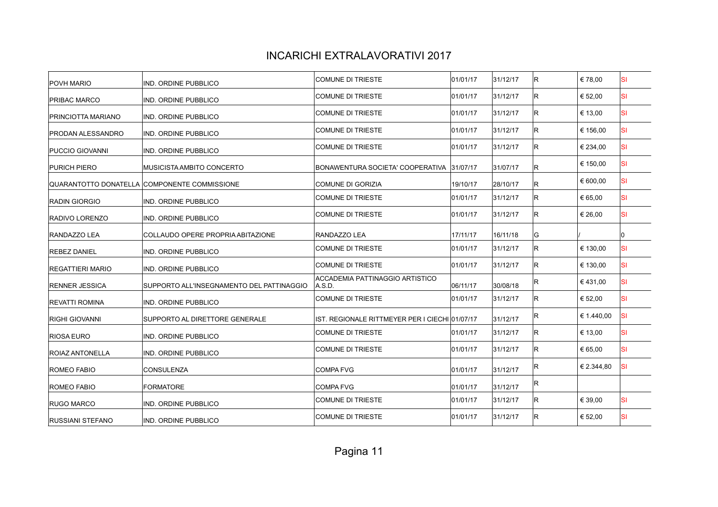| IND. ORDINE PUBBLICO                         | COMUNE DI TRIESTE                                | 01/01/17 | 31/12/17                                                   | lR. | €78,00     | ISI       |
|----------------------------------------------|--------------------------------------------------|----------|------------------------------------------------------------|-----|------------|-----------|
| <b>IND. ORDINE PUBBLICO</b>                  | <b>COMUNE DI TRIESTE</b>                         | 01/01/17 | 31/12/17                                                   | lR. | € 52,00    | <b>SI</b> |
| IND. ORDINE PUBBLICO                         | COMUNE DI TRIESTE                                | 01/01/17 | 31/12/17                                                   | lR. | € 13,00    | ΙSΙ       |
| IND. ORDINE PUBBLICO                         | COMUNE DI TRIESTE                                | 01/01/17 | 31/12/17                                                   | R   | € 156,00   | <b>SI</b> |
| <b>IND. ORDINE PUBBLICO</b>                  | <b>COMUNE DI TRIESTE</b>                         | 01/01/17 | 31/12/17                                                   | lR. | € 234,00   | <b>SI</b> |
| <b>MUSICISTA AMBITO CONCERTO</b>             | BONAWENTURA SOCIETA' COOPERATIVA                 |          | 31/07/17                                                   | R   | € 150,00   | ΙSΙ       |
| QUARANTOTTO DONATELLA COMPONENTE COMMISSIONE | COMUNE DI GORIZIA                                | 19/10/17 | 28/10/17                                                   | lR. | € 600,00   | <b>SI</b> |
| <b>IND. ORDINE PUBBLICO</b>                  | <b>COMUNE DI TRIESTE</b>                         | 01/01/17 | 31/12/17                                                   | lR. | € 65,00    | <b>SI</b> |
| IND. ORDINE PUBBLICO                         | <b>COMUNE DI TRIESTE</b>                         | 01/01/17 | 31/12/17                                                   | lR. | € 26,00    | <b>SI</b> |
| COLLAUDO OPERE PROPRIA ABITAZIONE            | RANDAZZO LEA                                     | 17/11/17 | 16/11/18                                                   | G   |            | 0         |
| IND. ORDINE PUBBLICO                         | COMUNE DI TRIESTE                                | 01/01/17 | 31/12/17                                                   | IR. | € 130.00   | <b>SI</b> |
| <b>IND. ORDINE PUBBLICO</b>                  | COMUNE DI TRIESTE                                | 01/01/17 | 31/12/17                                                   | lR. | € 130,00   | <b>SI</b> |
| SUPPORTO ALL'INSEGNAMENTO DEL PATTINAGGIO    | <b>ACCADEMIA PATTINAGGIO ARTISTICO</b><br>A.S.D. | 06/11/17 | 30/08/18                                                   | lR. | €431,00    | <b>SI</b> |
| IND. ORDINE PUBBLICO                         | COMUNE DI TRIESTE                                | 01/01/17 | 31/12/17                                                   | lR. | € 52,00    | <b>SI</b> |
| SUPPORTO AL DIRETTORE GENERALE               |                                                  |          | 31/12/17                                                   | IR. | € 1.440,00 | <b>SI</b> |
| IND. ORDINE PUBBLICO                         | COMUNE DI TRIESTE                                | 01/01/17 | 31/12/17                                                   | lR. | € 13,00    | <b>SI</b> |
| IND. ORDINE PUBBLICO                         | COMUNE DI TRIESTE                                | 01/01/17 | 31/12/17                                                   | lR. | € 65,00    | <b>SI</b> |
| <b>CONSULENZA</b>                            | COMPA FVG                                        | 01/01/17 | 31/12/17                                                   | lR. | € 2.344,80 | <b>SI</b> |
| <b>FORMATORE</b>                             | COMPA FVG                                        | 01/01/17 | 31/12/17                                                   | R   |            |           |
| IND. ORDINE PUBBLICO                         | <b>COMUNE DI TRIESTE</b>                         | 01/01/17 | 31/12/17                                                   | lR. | € 39,00    | <b>SI</b> |
| IND. ORDINE PUBBLICO                         | <b>COMUNE DI TRIESTE</b>                         | 01/01/17 | 31/12/17                                                   | lR. | € 52,00    | <b>SI</b> |
|                                              |                                                  |          | 31/07/17<br>IST. REGIONALE RITTMEYER PER I CIECHI 01/07/17 |     |            |           |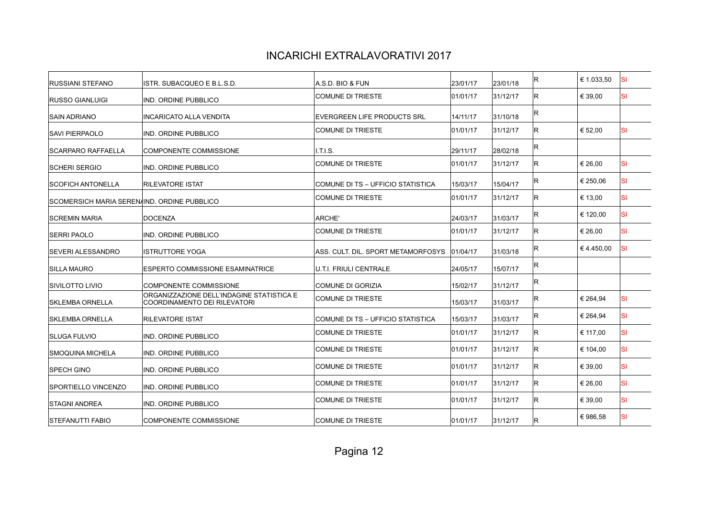| <b>RUSSIANI STEFANO</b>                     | ISTR. SUBACQUEO E B.L.S.D.                                                | A.S.D. BIO & FUN                   | 23/01/17 | 23/01/18 | IR. | € 1.033,50 | lsı |
|---------------------------------------------|---------------------------------------------------------------------------|------------------------------------|----------|----------|-----|------------|-----|
| <b>RUSSO GIANLUIGI</b>                      | <b>IND. ORDINE PUBBLICO</b>                                               | <b>COMUNE DI TRIESTE</b>           | 01/01/17 | 31/12/17 | IR. | € 39.00    | lsı |
| <b>SAIN ADRIANO</b>                         | <b>INCARICATO ALLA VENDITA</b>                                            | <b>EVERGREEN LIFE PRODUCTS SRL</b> | 14/11/17 | 31/10/18 | lR. |            |     |
| <b>SAVI PIERPAOLO</b>                       | IND. ORDINE PUBBLICO                                                      | <b>COMUNE DI TRIESTE</b>           | 01/01/17 | 31/12/17 | lR. | € 52,00    | lsı |
| <b>SCARPARO RAFFAELLA</b>                   | COMPONENTE COMMISSIONE                                                    | I.T.I.S.                           | 29/11/17 | 28/02/18 | lR. |            |     |
| <b>SCHERI SERGIO</b>                        | IND. ORDINE PUBBLICO                                                      | <b>COMUNE DI TRIESTE</b>           | 01/01/17 | 31/12/17 | IR. | € 26,00    | lsı |
| <b>SCOFICH ANTONELLA</b>                    | <b>RILEVATORE ISTAT</b>                                                   | COMUNE DI TS - UFFICIO STATISTICA  | 15/03/17 | 15/04/17 | lR. | € 250,06   | lsı |
| SCOMERSICH MARIA SEREN/IND. ORDINE PUBBLICO |                                                                           | <b>COMUNE DI TRIESTE</b>           | 01/01/17 | 31/12/17 | R.  | € 13,00    | lsı |
| <b>SCREMIN MARIA</b>                        | <b>DOCENZA</b>                                                            | ARCHE'                             | 24/03/17 | 31/03/17 | lR. | € 120,00   | lsı |
| <b>SERRI PAOLO</b>                          | IND. ORDINE PUBBLICO                                                      | <b>COMUNE DI TRIESTE</b>           | 01/01/17 | 31/12/17 | lR. | € 26,00    | lsı |
| <b>SEVERI ALESSANDRO</b>                    | <b>ISTRUTTORE YOGA</b>                                                    | ASS. CULT. DIL. SPORT METAMORFOSYS | 01/04/17 | 31/03/18 | lR. | €4.450,00  | lsı |
| <b>SILLA MAURO</b>                          | ESPERTO COMMISSIONE ESAMINATRICE                                          | U.T.I. FRIULI CENTRALE             | 24/05/17 | 15/07/17 | R   |            |     |
| SIVILOTTO LIVIO                             | <b>COMPONENTE COMMISSIONE</b>                                             | <b>COMUNE DI GORIZIA</b>           | 15/02/17 | 31/12/17 | R   |            |     |
| <b>SKLEMBA ORNELLA</b>                      | ORGANIZZAZIONE DELL'INDAGINE STATISTICA E<br>COORDINAMENTO DEI RILEVATORI | <b>COMUNE DI TRIESTE</b>           | 15/03/17 | 31/03/17 | lR. | € 264,94   | lsı |
| <b>SKLEMBA ORNELLA</b>                      | <b>RILEVATORE ISTAT</b>                                                   | COMUNE DI TS - UFFICIO STATISTICA  | 15/03/17 | 31/03/17 | R   | € 264,94   | lsı |
| <b>SLUGA FULVIO</b>                         | IND. ORDINE PUBBLICO                                                      | <b>COMUNE DI TRIESTE</b>           | 01/01/17 | 31/12/17 | lR. | € 117,00   | lsı |
| <b>SMOQUINA MICHELA</b>                     | IND. ORDINE PUBBLICO                                                      | <b>COMUNE DI TRIESTE</b>           | 01/01/17 | 31/12/17 | lR. | € 104,00   | lsı |
| <b>SPECH GINO</b>                           | IND. ORDINE PUBBLICO                                                      | <b>COMUNE DI TRIESTE</b>           | 01/01/17 | 31/12/17 | lR. | € 39.00    | lsı |
| <b>SPORTIELLO VINCENZO</b>                  | IND. ORDINE PUBBLICO                                                      | <b>COMUNE DI TRIESTE</b>           | 01/01/17 | 31/12/17 | lR. | € 26,00    | lsı |
| <b>STAGNI ANDREA</b>                        | IND. ORDINE PUBBLICO                                                      | <b>COMUNE DI TRIESTE</b>           | 01/01/17 | 31/12/17 | R.  | € 39,00    | lsı |
| <b>STEFANUTTI FABIO</b>                     | <b>COMPONENTE COMMISSIONE</b>                                             | <b>COMUNE DI TRIESTE</b>           | 01/01/17 | 31/12/17 | lR. | €986.58    | lsı |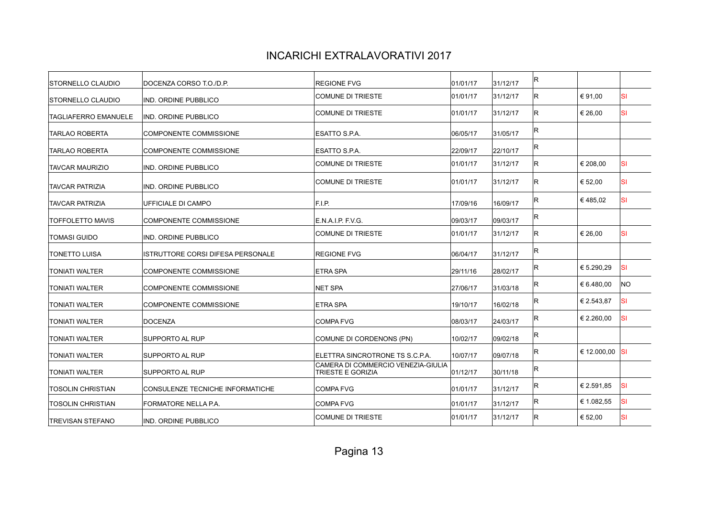| DOCENZA CORSO T.O./D.P.                 | <b>REGIONE FVG</b>                                             | 01/01/17 | 31/12/17 | lR. |            |                |
|-----------------------------------------|----------------------------------------------------------------|----------|----------|-----|------------|----------------|
| <b>IND. ORDINE PUBBLICO</b>             | COMUNE DI TRIESTE                                              | 01/01/17 | 31/12/17 | lR. | € 91,00    | <b>SI</b>      |
| <b>IND. ORDINE PUBBLICO</b>             | COMUNE DI TRIESTE                                              | 01/01/17 | 31/12/17 | lR. | € 26,00    | <b>SI</b>      |
| <b>COMPONENTE COMMISSIONE</b>           | ESATTO S.P.A.                                                  | 06/05/17 | 31/05/17 | R   |            |                |
| COMPONENTE COMMISSIONE                  | ESATTO S.P.A.                                                  | 22/09/17 | 22/10/17 | IR. |            |                |
| <b>IND. ORDINE PUBBLICO</b>             | <b>COMUNE DI TRIESTE</b>                                       | 01/01/17 | 31/12/17 | lR. | € 208,00   | <b>SI</b>      |
| <b>IND. ORDINE PUBBLICO</b>             | COMUNE DI TRIESTE                                              | 01/01/17 | 31/12/17 | lR. | € 52,00    | <b>SI</b>      |
| UFFICIALE DI CAMPO                      | F.I.P.                                                         | 17/09/16 | 16/09/17 | lR. | €485.02    | <b>SI</b>      |
| COMPONENTE COMMISSIONE                  | E.N.A.I.P. F.V.G.                                              | 09/03/17 | 09/03/17 | R   |            |                |
| IND. ORDINE PUBBLICO                    | <b>COMUNE DI TRIESTE</b>                                       | 01/01/17 | 31/12/17 | lR. | € 26,00    | <b>SI</b>      |
| IISTRUTTORE CORSI DIFESA PERSONALE      | <b>REGIONE FVG</b>                                             | 06/04/17 | 31/12/17 | R   |            |                |
| <b>COMPONENTE COMMISSIONE</b>           | <b>ETRA SPA</b>                                                | 29/11/16 | 28/02/17 | R   | € 5.290,29 | <b>SI</b>      |
| <b>COMPONENTE COMMISSIONE</b>           | NET SPA                                                        | 27/06/17 | 31/03/18 | IR. | € 6.480.00 | NO.            |
| <b>COMPONENTE COMMISSIONE</b>           | <b>ETRA SPA</b>                                                | 19/10/17 | 16/02/18 | lR. | € 2.543,87 | <b>SI</b>      |
| DOCENZA                                 | COMPA FVG                                                      | 08/03/17 | 24/03/17 | lR. | € 2.260,00 | <b>SI</b>      |
| <b>SUPPORTO AL RUP</b>                  | COMUNE DI CORDENONS (PN)                                       | 10/02/17 | 09/02/18 | R   |            |                |
| <b>SUPPORTO AL RUP</b>                  | ELETTRA SINCROTRONE TS S.C.P.A.                                | 10/07/17 | 09/07/18 | lR. |            |                |
| <b>SUPPORTO AL RUP</b>                  | CAMERA DI COMMERCIO VENEZIA-GIULIA<br><b>TRIESTE E GORIZIA</b> | 01/12/17 | 30/11/18 | IR. |            |                |
| <b>CONSULENZE TECNICHE INFORMATICHE</b> | COMPA FVG                                                      | 01/01/17 | 31/12/17 | lR. | € 2.591,85 | <b>SI</b>      |
| <b>FORMATORE NELLA P.A.</b>             | COMPA FVG                                                      | 01/01/17 | 31/12/17 | R   | € 1.082,55 | ΙSΙ            |
| <b>IND. ORDINE PUBBLICO</b>             | COMUNE DI TRIESTE                                              | 01/01/17 | 31/12/17 | lR. | € 52,00    | <b>SI</b>      |
|                                         |                                                                |          |          |     |            | € 12.000,00 SI |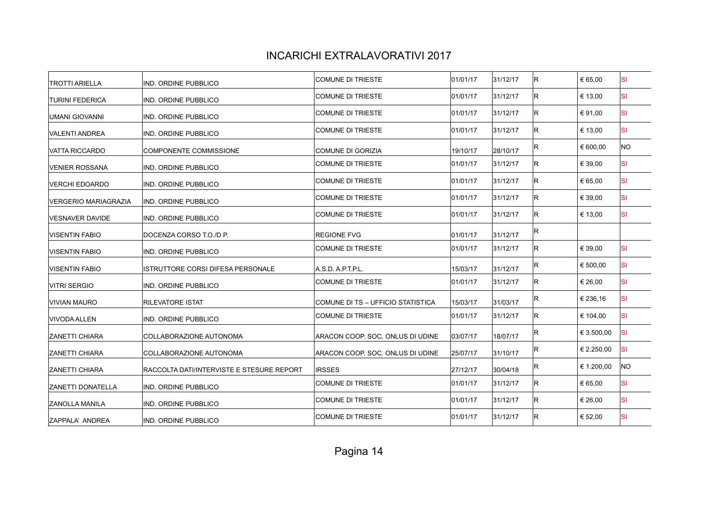| <b>TROTTI ARIELLA</b>       | IND. ORDINE PUBBLICO                      | COMUNE DI TRIESTE                 | 01/01/17 | 31/12/17 | IR. | € 65,00    | lsı       |
|-----------------------------|-------------------------------------------|-----------------------------------|----------|----------|-----|------------|-----------|
| <b>TURINI FEDERICA</b>      | IND. ORDINE PUBBLICO                      | COMUNE DI TRIESTE                 | 01/01/17 | 31/12/17 | IR. | € 13,00    | lsı       |
| UMANI GIOVANNI              | IND. ORDINE PUBBLICO                      | COMUNE DI TRIESTE                 | 01/01/17 | 31/12/17 | IR. | € 91,00    | <b>SI</b> |
| <b>VALENTI ANDREA</b>       | IND. ORDINE PUBBLICO                      | COMUNE DI TRIESTE                 | 01/01/17 | 31/12/17 | R.  | € 13,00    | lsı       |
| <b>VATTA RICCARDO</b>       | <b>COMPONENTE COMMISSIONE</b>             | <b>COMUNE DI GORIZIA</b>          | 19/10/17 | 28/10/17 | R   | € 600,00   | NO.       |
| <b>VENIER ROSSANA</b>       | IND. ORDINE PUBBLICO                      | COMUNE DI TRIESTE                 | 01/01/17 | 31/12/17 | IR. | € 39,00    | <b>SI</b> |
| VERCHI EDOARDO              | IND. ORDINE PUBBLICO                      | <b>COMUNE DI TRIESTE</b>          | 01/01/17 | 31/12/17 | R.  | € 65,00    | <b>SI</b> |
| <b>VERGERIO MARIAGRAZIA</b> | IND. ORDINE PUBBLICO                      | COMUNE DI TRIESTE                 | 01/01/17 | 31/12/17 | IR. | € 39,00    | lsı       |
| VESNAVER DAVIDE             | IND. ORDINE PUBBLICO                      | <b>COMUNE DI TRIESTE</b>          | 01/01/17 | 31/12/17 | IR. | € 13,00    | <b>SI</b> |
| <b>VISENTIN FABIO</b>       | DOCENZA CORSO T.O./D.P.                   | <b>REGIONE FVG</b>                | 01/01/17 | 31/12/17 | R.  |            |           |
| <b>VISENTIN FABIO</b>       | IND. ORDINE PUBBLICO                      | COMUNE DI TRIESTE                 | 01/01/17 | 31/12/17 | IR. | € 39,00    | <b>SI</b> |
| <b>VISENTIN FABIO</b>       | ISTRUTTORE CORSI DIFESA PERSONALE         | A.S.D. A.P.T.P.L.                 | 15/03/17 | 31/12/17 | IR. | € 500,00   | lsı       |
| <b>VITRI SERGIO</b>         | IND. ORDINE PUBBLICO                      | COMUNE DI TRIESTE                 | 01/01/17 | 31/12/17 | R.  | € 26,00    | <b>SI</b> |
| <b>VIVIAN MAURO</b>         | <b>RILEVATORE ISTAT</b>                   | COMUNE DI TS – UFFICIO STATISTICA | 15/03/17 | 31/03/17 | IR. | € 236,16   | lsı       |
| <b>VIVODA ALLEN</b>         | IND. ORDINE PUBBLICO                      | COMUNE DI TRIESTE                 | 01/01/17 | 31/12/17 | IR. | € 104,00   | <b>SI</b> |
| <b>ZANETTI CHIARA</b>       | COLLABORAZIONE AUTONOMA                   | ARACON COOP. SOC. ONLUS DI UDINE  | 03/07/17 | 18/07/17 | IR. | € 3.500,00 | <b>SI</b> |
| IZANETTI CHIARA             | COLLABORAZIONE AUTONOMA                   | ARACON COOP. SOC. ONLUS DI UDINE  | 25/07/17 | 31/10/17 | R.  | € 2.250,00 | <b>SI</b> |
| IZANETTI CHIARA             | RACCOLTA DATI/INTERVISTE E STESURE REPORT | <b>IRSSES</b>                     | 27/12/17 | 30/04/18 | R   | € 1.200,00 | <b>NO</b> |
| <b>ZANETTI DONATELLA</b>    | IND. ORDINE PUBBLICO                      | <b>COMUNE DI TRIESTE</b>          | 01/01/17 | 31/12/17 | IR. | € 65.00    | <b>SI</b> |
| <b>ZANOLLA MANILA</b>       | IND. ORDINE PUBBLICO                      | COMUNE DI TRIESTE                 | 01/01/17 | 31/12/17 | R.  | € 26,00    | SI        |
| ZAPPALA' ANDREA             | IND. ORDINE PUBBLICO                      | <b>COMUNE DI TRIESTE</b>          | 01/01/17 | 31/12/17 | IR. | € 52,00    | <b>SI</b> |
|                             |                                           |                                   |          |          |     |            |           |